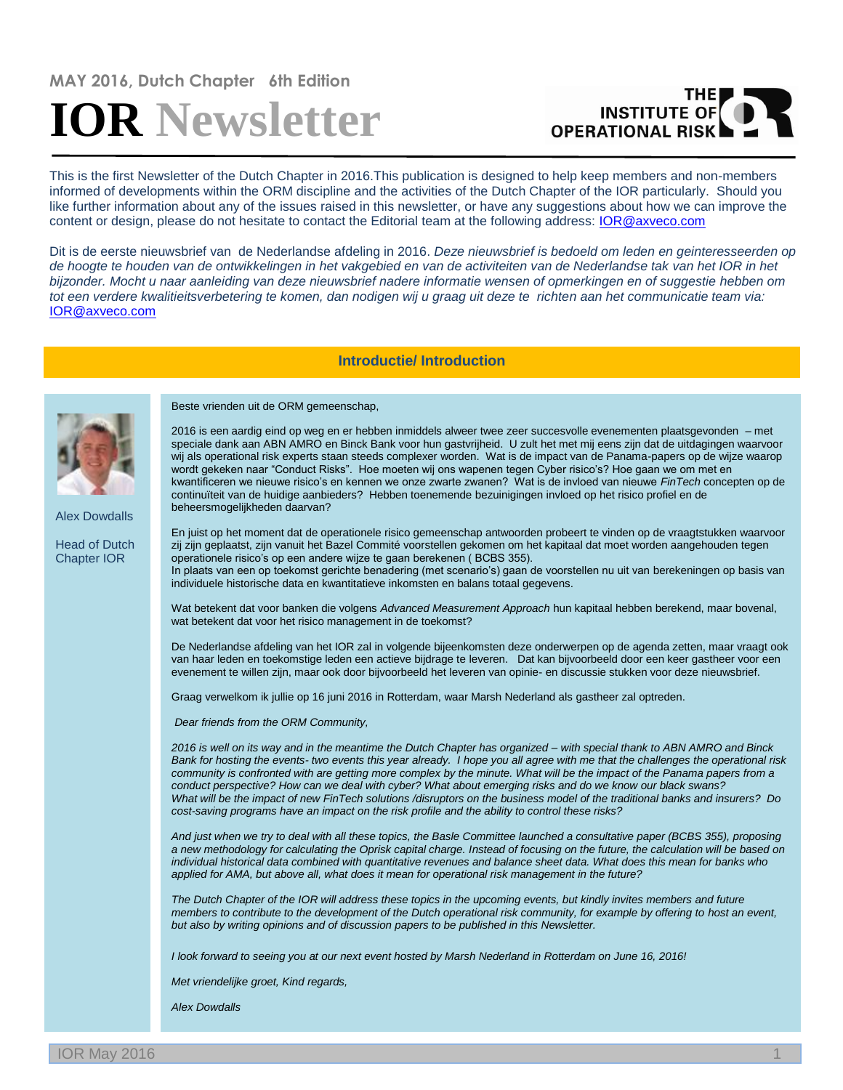# **MAY 2016, Dutch Chapter 6th Edition IOR Newsletter**

## THE **OPERATIONAL RISK**

This is the first Newsletter of the Dutch Chapter in 2016.This publication is designed to help keep members and non-members informed of developments within the ORM discipline and the activities of the Dutch Chapter of the IOR particularly. Should you like further information about any of the issues raised in this newsletter, or have any suggestions about how we can improve the content or design, please do not hesitate to contact the Editorial team at the following address: [IOR@axveco.com](mailto:IOR@axveco.com)

Dit is de eerste nieuwsbrief van de Nederlandse afdeling in 2016. *Deze nieuwsbrief is bedoeld om leden en geinteresseerden op de hoogte te houden van de ontwikkelingen in het vakgebied en van de activiteiten van de Nederlandse tak van het IOR in het bijzonder. Mocht u naar aanleiding van deze nieuwsbrief nadere informatie wensen of opmerkingen en of suggestie hebben om tot een verdere kwalitieitsverbetering te komen, dan nodigen wij u graag uit deze te richten aan het communicatie team via:*  [IOR@axveco.com](mailto:IOR@axveco.com)

### **Introductie/ Introduction**



Alex Dowdalls

Head of Dutch Chapter IOR

Beste vrienden uit de ORM gemeenschap,

2016 is een aardig eind op weg en er hebben inmiddels alweer twee zeer succesvolle evenementen plaatsgevonden – met speciale dank aan ABN AMRO en Binck Bank voor hun gastvrijheid. U zult het met mij eens zijn dat de uitdagingen waarvoor wij als operational risk experts staan steeds complexer worden. Wat is de impact van de Panama-papers op de wijze waarop wordt gekeken naar "Conduct Risks". Hoe moeten wij ons wapenen tegen Cyber risico's? Hoe gaan we om met en kwantificeren we nieuwe risico's en kennen we onze zwarte zwanen? Wat is de invloed van nieuwe *FinTech* concepten op de continuïteit van de huidige aanbieders? Hebben toenemende bezuinigingen invloed op het risico profiel en de beheersmogelijkheden daarvan?

En juist op het moment dat de operationele risico gemeenschap antwoorden probeert te vinden op de vraagtstukken waarvoor zij zijn geplaatst, zijn vanuit het Bazel Commité voorstellen gekomen om het kapitaal dat moet worden aangehouden tegen operationele risico's op een andere wijze te gaan berekenen ( BCBS 355). In plaats van een op toekomst gerichte benadering (met scenario's) gaan de voorstellen nu uit van berekeningen op basis van individuele historische data en kwantitatieve inkomsten en balans totaal gegevens.

Wat betekent dat voor banken die volgens *Advanced Measurement Approach* hun kapitaal hebben berekend, maar bovenal, wat betekent dat voor het risico management in de toekomst?

De Nederlandse afdeling van het IOR zal in volgende bijeenkomsten deze onderwerpen op de agenda zetten, maar vraagt ook van haar leden en toekomstige leden een actieve bijdrage te leveren. Dat kan bijvoorbeeld door een keer gastheer voor een evenement te willen zijn, maar ook door bijvoorbeeld het leveren van opinie- en discussie stukken voor deze nieuwsbrief.

Graag verwelkom ik jullie op 16 juni 2016 in Rotterdam, waar Marsh Nederland als gastheer zal optreden.

*Dear friends from the ORM Community,*

*2016 is well on its way and in the meantime the Dutch Chapter has organized – with special thank to ABN AMRO and Binck Bank for hosting the events- two events this year already. I hope you all agree with me that the challenges the operational risk*  community is confronted with are getting more complex by the minute. What will be the impact of the Panama papers from a *conduct perspective? How can we deal with cyber? What about emerging risks and do we know our black swans? What will be the impact of new FinTech solutions /disruptors on the business model of the traditional banks and insurers? Do cost-saving programs have an impact on the risk profile and the ability to control these risks?*

*And just when we try to deal with all these topics, the Basle Committee launched a consultative paper (BCBS 355), proposing a new methodology for calculating the Oprisk capital charge. Instead of focusing on the future, the calculation will be based on individual historical data combined with quantitative revenues and balance sheet data. What does this mean for banks who applied for AMA, but above all, what does it mean for operational risk management in the future?*

*The Dutch Chapter of the IOR will address these topics in the upcoming events, but kindly invites members and future members to contribute to the development of the Dutch operational risk community, for example by offering to host an event, but also by writing opinions and of discussion papers to be published in this Newsletter.*

*I look forward to seeing you at our next event hosted by Marsh Nederland in Rotterdam on June 16, 2016!*

*Met vriendelijke groet, Kind regards,*

*Alex Dowdalls*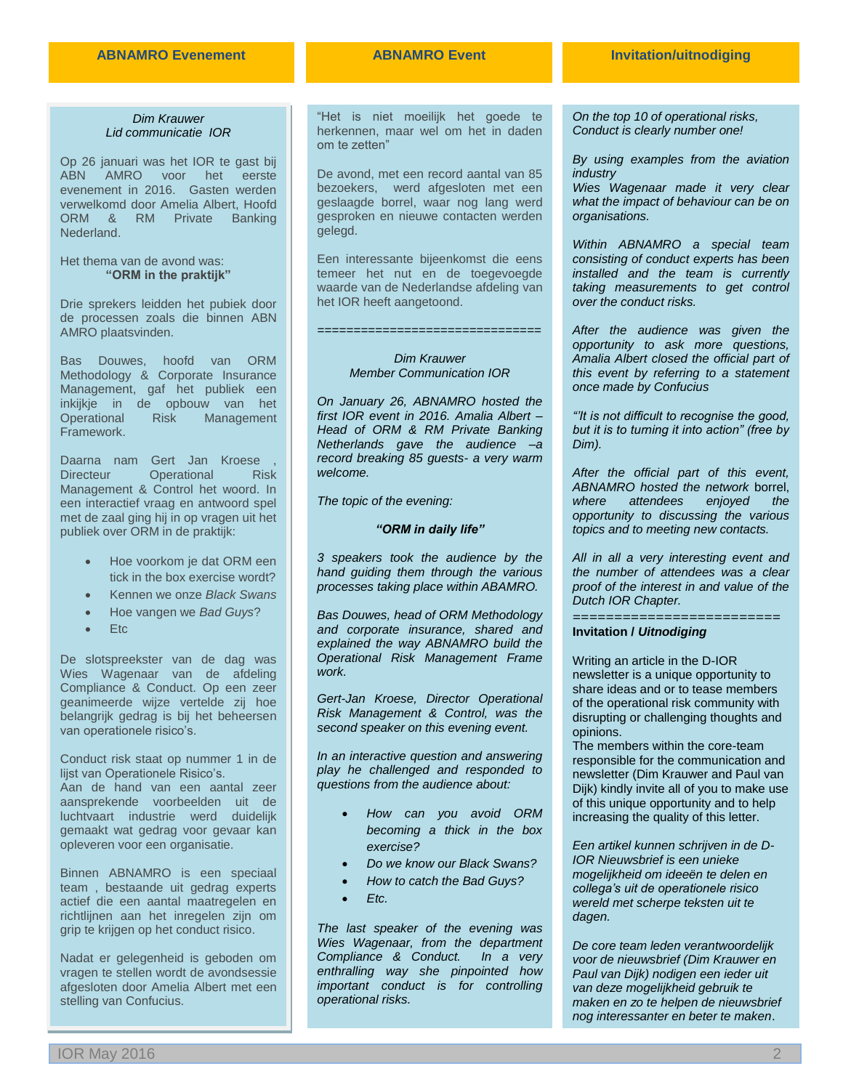#### *Dim Krauwer Lid communicatie IOR*

Op 26 januari was het IOR te gast bij ABN AMRO voor het eerste evenement in 2016. Gasten werden verwelkomd door Amelia Albert, Hoofd ORM & RM Private Banking Nederland.

Het thema van de avond was: **"ORM in the praktijk"**

Drie sprekers leidden het pubiek door de processen zoals die binnen ABN AMRO plaatsvinden.

Bas Douwes, hoofd van ORM Methodology & Corporate Insurance Management, gaf het publiek een inkijkje in de opbouw van het Operational Risk Management Framework.

Daarna nam Gert Jan Kroese , Directeur Operational Risk Management & Control het woord. In een interactief vraag en antwoord spel met de zaal ging hij in op vragen uit het publiek over ORM in de praktijk:

- Hoe voorkom je dat ORM een tick in the box exercise wordt?
- Kennen we onze *Black Swans*
- Hoe vangen we *Bad Guys*?
- Etc

De slotspreekster van de dag was Wies Wagenaar van de afdeling Compliance & Conduct. Op een zeer geanimeerde wijze vertelde zij hoe belangrijk gedrag is bij het beheersen van operationele risico's.

Conduct risk staat op nummer 1 in de lijst van Operationele Risico's. Aan de hand van een aantal zeer

aansprekende voorbeelden uit de luchtvaart industrie werd duidelijk gemaakt wat gedrag voor gevaar kan opleveren voor een organisatie.

Binnen ABNAMRO is een speciaal team , bestaande uit gedrag experts actief die een aantal maatregelen en richtlijnen aan het inregelen zijn om grip te krijgen op het conduct risico.

Nadat er gelegenheid is geboden om vragen te stellen wordt de avondsessie afgesloten door Amelia Albert met een stelling van Confucius.

"Het is niet moeilijk het goede te herkennen, maar wel om het in daden om te zetten"

De avond, met een record aantal van 85 bezoekers, werd afgesloten met een geslaagde borrel, waar nog lang werd gesproken en nieuwe contacten werden gelegd.

Een interessante bijeenkomst die eens temeer het nut en de toegevoegde waarde van de Nederlandse afdeling van het IOR heeft aangetoond.

#### *Dim Krauwer Member Communication IOR*

*===============================*

*On January 26, ABNAMRO hosted the first IOR event in 2016. Amalia Albert – Head of ORM & RM Private Banking Netherlands gave the audience –a record breaking 85 guests- a very warm welcome.* 

*The topic of the evening:*

#### *"ORM in daily life"*

*3 speakers took the audience by the hand guiding them through the various processes taking place within ABAMRO.*

*Bas Douwes, head of ORM Methodology and corporate insurance, shared and explained the way ABNAMRO build the Operational Risk Management Frame work.*

*Gert-Jan Kroese, Director Operational Risk Management & Control, was the second speaker on this evening event.* 

*In an interactive question and answering play he challenged and responded to questions from the audience about:*

- *How can you avoid ORM becoming a thick in the box exercise?*
- *Do we know our Black Swans?*
- *How to catch the Bad Guys?*
- *Etc.*

*The last speaker of the evening was Wies Wagenaar, from the department Compliance & Conduct. In a very enthralling way she pinpointed how important conduct is for controlling operational risks.*

*On the top 10 of operational risks, Conduct is clearly number one!*

*By using examples from the aviation industry* 

*Wies Wagenaar made it very clear what the impact of behaviour can be on organisations.*

*Within ABNAMRO a special team consisting of conduct experts has been installed and the team is currently taking measurements to get control over the conduct risks.*

*After the audience was given the opportunity to ask more questions, Amalia Albert closed the official part of this event by referring to a statement once made by Confucius*

*"'It is not difficult to recognise the good, but it is to turning it into action" (free by Dim).*

*After the official part of this event, ABNAMRO hosted the network* borrel, *where attendees enjoyed the opportunity to discussing the various topics and to meeting new contacts.*

*All in all a very interesting event and the number of attendees was a clear proof of the interest in and value of the Dutch IOR Chapter.*

=========================

**Invitation /** *Uitnodiging*

Writing an article in the D-IOR newsletter is a unique opportunity to share ideas and or to tease members of the operational risk community with disrupting or challenging thoughts and opinions.

The members within the core-team responsible for the communication and newsletter (Dim Krauwer and Paul van Dijk) kindly invite all of you to make use of this unique opportunity and to help increasing the quality of this letter.

*Een artikel kunnen schrijven in de D-IOR Nieuwsbrief is een unieke mogelijkheid om ideeën te delen en collega's uit de operationele risico wereld met scherpe teksten uit te dagen.*

*De core team leden verantwoordelijk voor de nieuwsbrief (Dim Krauwer en Paul van Dijk) nodigen een ieder uit van deze mogelijkheid gebruik te maken en zo te helpen de nieuwsbrief nog interessanter en beter te maken*.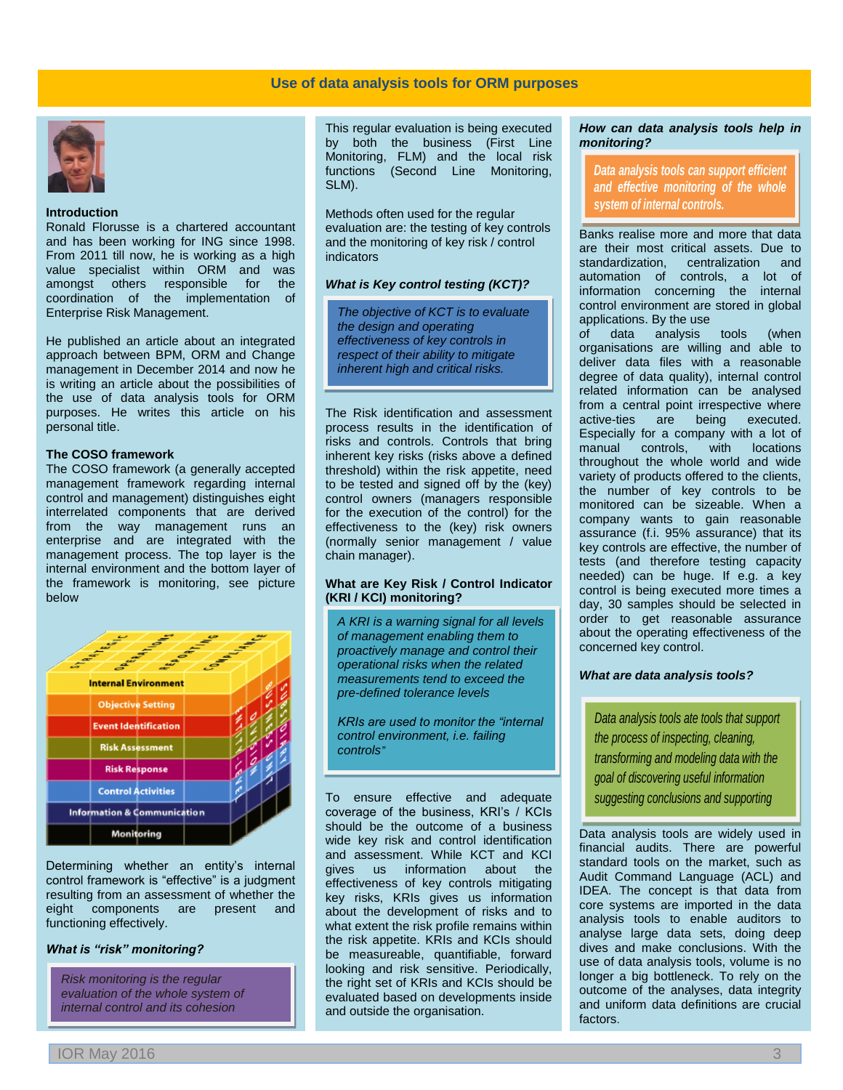

#### **Introduction**

Ronald Florusse is a chartered accountant and has been working for ING since 1998. From 2011 till now, he is working as a high value specialist within ORM and was amongst others responsible for the coordination of the implementation of Enterprise Risk Management.

He published an article about an integrated approach between BPM, ORM and Change management in December 2014 and now he is writing an article about the possibilities of the use of data analysis tools for ORM purposes. He writes this article on his personal title.

#### **The COSO framework**

The COSO framework (a generally accepted management framework regarding internal control and management) distinguishes eight interrelated components that are derived from the way management runs an enterprise and are integrated with the management process. The top layer is the internal environment and the bottom layer of the framework is monitoring, see picture below



Determining whether an entity's internal control framework is "effective" is a judgment resulting from an assessment of whether the<br>eight components are present and components are present and functioning effectively.

#### *What is "risk" monitoring?*

*Risk monitoring is the regular evaluation of the whole system of internal control and its cohesion*

This regular evaluation is being executed by both the business (First Line Monitoring, FLM) and the local risk functions (Second Line Monitoring, SLM).

Methods often used for the regular evaluation are: the testing of key controls and the monitoring of key risk / control indicators

#### *What is Key control testing (KCT)?*

*The objective of KCT is to evaluate the design and operating effectiveness of key controls in respect of their ability to mitigate inherent high and critical risks.*

The Risk identification and assessment process results in the identification of risks and controls. Controls that bring inherent key risks (risks above a defined threshold) within the risk appetite, need to be tested and signed off by the (key) control owners (managers responsible for the execution of the control) for the effectiveness to the (key) risk owners (normally senior management / value chain manager).

#### **What are Key Risk / Control Indicator (KRI / KCI) monitoring?**

*A KRI is a warning signal for all levels of management enabling them to proactively manage and control their operational risks when the related measurements tend to exceed the pre-defined tolerance levels*

*KRIs are used to monitor the "internal control environment, i.e. failing controls"*

To ensure effective and adequate coverage of the business, KRI's / KCIs should be the outcome of a business wide key risk and control identification and assessment. While KCT and KCI gives us information about the effectiveness of key controls mitigating key risks, KRIs gives us information about the development of risks and to what extent the risk profile remains within the risk appetite. KRIs and KCIs should be measureable, quantifiable, forward looking and risk sensitive. Periodically, the right set of KRIs and KCIs should be evaluated based on developments inside and outside the organisation.

#### *How can data analysis tools help in monitoring?*

*Data analysis tools can support efficient and effective monitoring of the whole system of internal controls.* 

Banks realise more and more that data are their most critical assets. Due to<br>standardization, centralization and centralization and automation of controls, a lot of information concerning the internal control environment are stored in global applications. By the use

*o*f data analysis tools (when organisations are willing and able to deliver data files with a reasonable degree of data quality), internal control related information can be analysed from a central point irrespective where active-ties are being executed. Especially for a company with a lot of manual controls, with locations throughout the whole world and wide variety of products offered to the clients, the number of key controls to be monitored can be sizeable. When a company wants to gain reasonable assurance (f.i. 95% assurance) that its key controls are effective, the number of tests (and therefore testing capacity needed) can be huge. If e.g. a key control is being executed more times a day, 30 samples should be selected in order to get reasonable assurance about the operating effectiveness of the concerned key control.

#### *What are data analysis tools?*

*decision-making.*

*Data analysis tools ate tools that support the process of inspecting, cleaning, transforming and modeling data with the goal of discovering useful information suggesting conclusions and supporting* 

Data analysis tools are widely used in financial audits. There are powerful standard tools on the market, such as Audit Command Language (ACL) and IDEA. The concept is that data from core systems are imported in the data analysis tools to enable auditors to analyse large data sets, doing deep dives and make conclusions. With the use of data analysis tools, volume is no longer a big bottleneck. To rely on the outcome of the analyses, data integrity and uniform data definitions are crucial factors.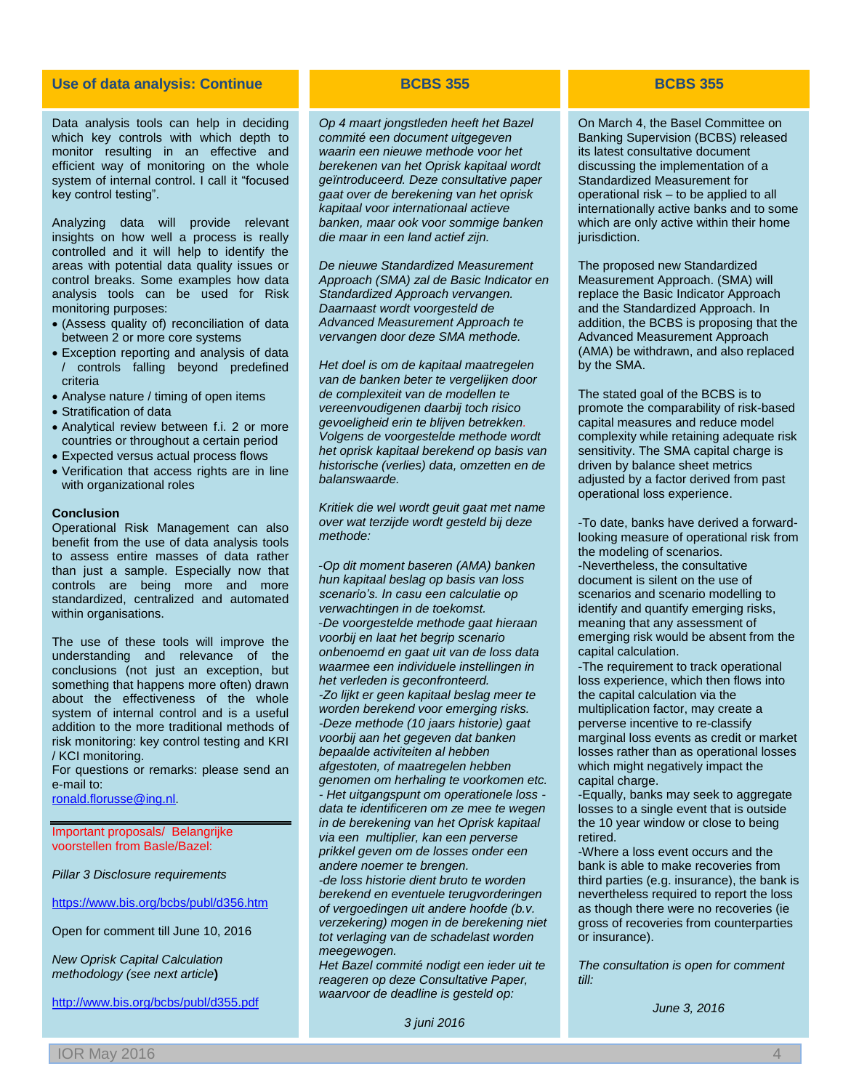#### **Use of data analysis: Continue BCBS 355 BCBS 355**

Data analysis tools can help in deciding which key controls with which depth to monitor resulting in an effective and efficient way of monitoring on the whole system of internal control. I call it "focused key control testing".

Analyzing data will provide relevant insights on how well a process is really controlled and it will help to identify the areas with potential data quality issues or control breaks. Some examples how data analysis tools can be used for Risk monitoring purposes:

- (Assess quality of) reconciliation of data between 2 or more core systems
- Exception reporting and analysis of data / controls falling beyond predefined criteria
- Analyse nature / timing of open items
- Stratification of data
- Analytical review between f.i. 2 or more countries or throughout a certain period
- Expected versus actual process flows
- Verification that access rights are in line with organizational roles

#### **Conclusion**

Operational Risk Management can also benefit from the use of data analysis tools to assess entire masses of data rather than just a sample. Especially now that controls are being more and more standardized, centralized and automated within organisations.

The use of these tools will improve the understanding and relevance of the conclusions (not just an exception, but something that happens more often) drawn about the effectiveness of the whole system of internal control and is a useful addition to the more traditional methods of risk monitoring: key control testing and KRI / KCI monitoring.

For questions or remarks: please send an e-mail to:

[ronald.florusse@ing.nl](mailto:ronald.florusse@ing.nl).

Important proposals/ Belangrijke voorstellen from Basle/Bazel:

*Pillar 3 Disclosure requirements*

<https://www.bis.org/bcbs/publ/d356.htm>

Open for comment till June 10, 2016

*New Oprisk Capital Calculation methodology (see next article***)**

<http://www.bis.org/bcbs/publ/d355.pdf>

*Op 4 maart jongstleden heeft het Bazel commité een document uitgegeven waarin een nieuwe methode voor het berekenen van het Oprisk kapitaal wordt geïntroduceerd. Deze consultative paper gaat over de berekening van het oprisk kapitaal voor internationaal actieve banken, maar ook voor sommige banken die maar in een land actief zijn.*

*De nieuwe Standardized Measurement Approach (SMA) zal de Basic Indicator en Standardized Approach vervangen. Daarnaast wordt voorgesteld de Advanced Measurement Approach te vervangen door deze SMA methode.*

*Het doel is om de kapitaal maatregelen van de banken beter te vergelijken door de complexiteit van de modellen te vereenvoudigenen daarbij toch risico gevoeligheid erin te blijven betrekken. Volgens de voorgestelde methode wordt het oprisk kapitaal berekend op basis van historische (verlies) data, omzetten en de balanswaarde.*

*Kritiek die wel wordt geuit gaat met name over wat terzijde wordt gesteld bij deze methode:*

*-Op dit moment baseren (AMA) banken hun kapitaal beslag op basis van loss scenario's. In casu een calculatie op verwachtingen in de toekomst. -De voorgestelde methode gaat hieraan voorbij en laat het begrip scenario onbenoemd en gaat uit van de loss data waarmee een individuele instellingen in het verleden is geconfronteerd. -Zo lijkt er geen kapitaal beslag meer te worden berekend voor emerging risks. -Deze methode (10 jaars historie) gaat voorbij aan het gegeven dat banken bepaalde activiteiten al hebben afgestoten, of maatregelen hebben genomen om herhaling te voorkomen etc. - Het uitgangspunt om operationele loss data te identificeren om ze mee te wegen in de berekening van het Oprisk kapitaal via een multiplier, kan een perverse prikkel geven om de losses onder een andere noemer te brengen. -de loss historie dient bruto te worden* 

*berekend en eventuele terugvorderingen of vergoedingen uit andere hoofde (b.v. verzekering) mogen in de berekening niet tot verlaging van de schadelast worden meegewogen.*

*Het Bazel commité nodigt een ieder uit te reageren op deze Consultative Paper, waarvoor de deadline is gesteld op:*

*3 juni 2016*

On March 4, the Basel Committee on Banking Supervision (BCBS) released its latest consultative document discussing the implementation of a Standardized Measurement for operational risk – to be applied to all internationally active banks and to some which are only active within their home jurisdiction.

The proposed new Standardized Measurement Approach. (SMA) will replace the Basic Indicator Approach and the Standardized Approach. In addition, the BCBS is proposing that the Advanced Measurement Approach (AMA) be withdrawn, and also replaced by the SMA.

The stated goal of the BCBS is to promote the comparability of risk-based capital measures and reduce model complexity while retaining adequate risk sensitivity. The SMA capital charge is driven by balance sheet metrics adjusted by a factor derived from past operational loss experience.

-To date, banks have derived a forwardlooking measure of operational risk from the modeling of scenarios. -Nevertheless, the consultative document is silent on the use of scenarios and scenario modelling to identify and quantify emerging risks, meaning that any assessment of emerging risk would be absent from the capital calculation.

-The requirement to track operational loss experience, which then flows into the capital calculation via the multiplication factor, may create a perverse incentive to re-classify marginal loss events as credit or market losses rather than as operational losses which might negatively impact the capital charge.

-Equally, banks may seek to aggregate losses to a single event that is outside the 10 year window or close to being retired.

-Where a loss event occurs and the bank is able to make recoveries from third parties (e.g. insurance), the bank is nevertheless required to report the loss as though there were no recoveries (ie gross of recoveries from counterparties or insurance).

*The consultation is open for comment till:*

*June 3, 2016*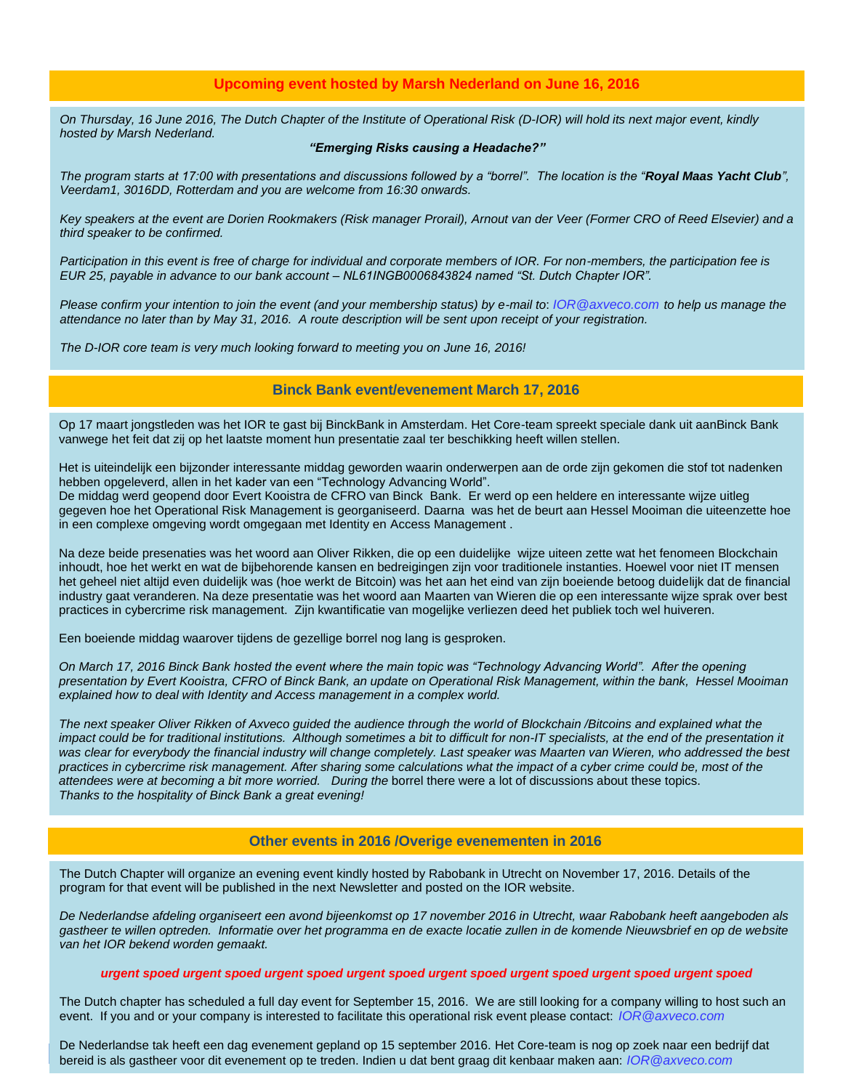### **Upcoming event hosted by Marsh Nederland on June 16, 2016**

*On Thursday, 16 June 2016, The Dutch Chapter of the Institute of Operational Risk (D-IOR) will hold its next major event, kindly hosted by Marsh Nederland.* 

#### *"Emerging Risks causing a Headache?"*

*The program starts at 17:00 with presentations and discussions followed by a "borrel". The location is the "Royal Maas Yacht Club", Veerdam1, 3016DD, Rotterdam and you are welcome from 16:30 onwards.*

*Key speakers at the event are Dorien Rookmakers (Risk manager Prorail), Arnout van der Veer (Former CRO of Reed Elsevier) and a third speaker to be confirmed.*

*Participation in this event is free of charge for individual and corporate members of IOR. For non-members, the participation fee is EUR 25, payable in advance to our bank account – NL61INGB0006843824 named "St. Dutch Chapter IOR".* 

*Please confirm your intention to join the event (and your membership status) by e-mail to*: *[IOR@axveco.com](mailto:IOR@axveco.com) to help us manage the attendance no later than by May 31, 2016. A route description will be sent upon receipt of your registration.*

*The D-IOR core team is very much looking forward to meeting you on June 16, 2016!*

#### **Binck Bank event/evenement March 17, 2016**

Op 17 maart jongstleden was het IOR te gast bij BinckBank in Amsterdam. Het Core-team spreekt speciale dank uit aanBinck Bank vanwege het feit dat zij op het laatste moment hun presentatie zaal ter beschikking heeft willen stellen.

Het is uiteindelijk een bijzonder interessante middag geworden waarin onderwerpen aan de orde zijn gekomen die stof tot nadenken hebben opgeleverd, allen in het kader van een "Technology Advancing World".

De middag werd geopend door Evert Kooistra de CFRO van Binck Bank. Er werd op een heldere en interessante wijze uitleg gegeven hoe het Operational Risk Management is georganiseerd. Daarna was het de beurt aan Hessel Mooiman die uiteenzette hoe in een complexe omgeving wordt omgegaan met Identity en Access Management .

Na deze beide presenaties was het woord aan Oliver Rikken, die op een duidelijke wijze uiteen zette wat het fenomeen Blockchain inhoudt, hoe het werkt en wat de bijbehorende kansen en bedreigingen zijn voor traditionele instanties. Hoewel voor niet IT mensen het geheel niet altijd even duidelijk was (hoe werkt de Bitcoin) was het aan het eind van zijn boeiende betoog duidelijk dat de financial industry gaat veranderen. Na deze presentatie was het woord aan Maarten van Wieren die op een interessante wijze sprak over best practices in cybercrime risk management. Zijn kwantificatie van mogelijke verliezen deed het publiek toch wel huiveren.

Een boeiende middag waarover tijdens de gezellige borrel nog lang is gesproken.

*On March 17, 2016 Binck Bank hosted the event where the main topic was "Technology Advancing World". After the opening presentation by Evert Kooistra, CFRO of Binck Bank, an update on Operational Risk Management, within the bank, Hessel Mooiman explained how to deal with Identity and Access management in a complex world.*

*The next speaker Oliver Rikken of Axveco guided the audience through the world of Blockchain /Bitcoins and explained what the*  impact could be for traditional institutions. Although sometimes a bit to difficult for non-IT specialists, at the end of the presentation it *was clear for everybody the financial industry will change completely. Last speaker was Maarten van Wieren, who addressed the best practices in cybercrime risk management. After sharing some calculations what the impact of a cyber crime could be, most of the attendees were at becoming a bit more worried. During the* borrel there were a lot of discussions about these topics. *Thanks to the hospitality of Binck Bank a great evening!*

#### **Other events in 2016 /Overige evenementen in 2016 OtherEvents in 201 /Evenementen in 2016**

The Dutch Chapter will organize an evening event kindly hosted by Rabobank in Utrecht on November 17, 2016. Details of the program for that event will be published in the next Newsletter and posted on the IOR website.

*De Nederlandse afdeling organiseert een avond bijeenkomst op 17 november 2016 in Utrecht, waar Rabobank heeft aangeboden als gastheer te willen optreden. Informatie over het programma en de exacte locatie zullen in de komende Nieuwsbrief en op de website van het IOR bekend worden gemaakt.*

#### *urgent spoed urgent spoed urgent spoed urgent spoed urgent spoed urgent spoed urgent spoed urgent spoed*

The Dutch chapter has scheduled a full day event for September 15, 2016. We are still looking for a company willing to host such an event. If you and or your company is interested to facilitate this operational risk event please contact: *[IOR@axveco.com](mailto:IOR@axveco.com)*

IOR May 2016 5 bereid is als gastheer voor dit evenement op te treden. Indien u dat bent graag dit kenbaar maken aan: *[IOR@axveco.com](mailto:IOR@axveco.com)* De Nederlandse tak heeft een dag evenement gepland op 15 september 2016. Het Core-team is nog op zoek naar een bedrijf dat